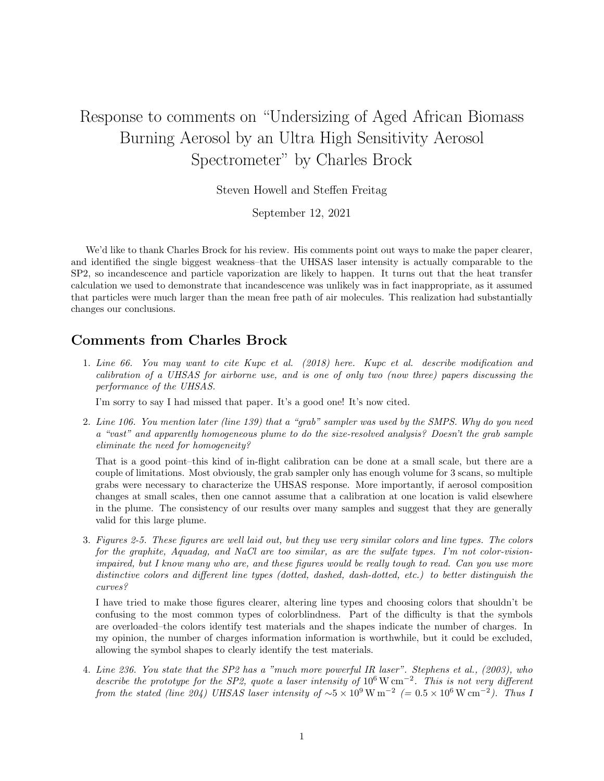## Response to comments on "Undersizing of Aged African Biomass Burning Aerosol by an Ultra High Sensitivity Aerosol Spectrometer" by Charles Brock

Steven Howell and Steffen Freitag

September 12, 2021

We'd like to thank Charles Brock for his review. His comments point out ways to make the paper clearer, and identified the single biggest weakness–that the UHSAS laser intensity is actually comparable to the SP2, so incandescence and particle vaporization are likely to happen. It turns out that the heat transfer calculation we used to demonstrate that incandescence was unlikely was in fact inappropriate, as it assumed that particles were much larger than the mean free path of air molecules. This realization had substantially changes our conclusions.

## Comments from Charles Brock

1. Line 66. You may want to cite Kupc et al. (2018) here. Kupc et al. describe modification and calibration of a UHSAS for airborne use, and is one of only two (now three) papers discussing the performance of the UHSAS.

I'm sorry to say I had missed that paper. It's a good one! It's now cited.

2. Line 106. You mention later (line 139) that a "grab" sampler was used by the SMPS. Why do you need a "vast" and apparently homogeneous plume to do the size-resolved analysis? Doesn't the grab sample eliminate the need for homogeneity?

That is a good point–this kind of in-flight calibration can be done at a small scale, but there are a couple of limitations. Most obviously, the grab sampler only has enough volume for 3 scans, so multiple grabs were necessary to characterize the UHSAS response. More importantly, if aerosol composition changes at small scales, then one cannot assume that a calibration at one location is valid elsewhere in the plume. The consistency of our results over many samples and suggest that they are generally valid for this large plume.

3. Figures 2-5. These figures are well laid out, but they use very similar colors and line types. The colors for the graphite, Aquadag, and NaCl are too similar, as are the sulfate types. I'm not color-visionimpaired, but I know many who are, and these figures would be really tough to read. Can you use more distinctive colors and different line types (dotted, dashed, dash-dotted, etc.) to better distinguish the curves?

I have tried to make those figures clearer, altering line types and choosing colors that shouldn't be confusing to the most common types of colorblindness. Part of the difficulty is that the symbols are overloaded–the colors identify test materials and the shapes indicate the number of charges. In my opinion, the number of charges information information is worthwhile, but it could be excluded, allowing the symbol shapes to clearly identify the test materials.

4. Line 236. You state that the SP2 has a "much more powerful IR laser". Stephens et al., (2003), who describe the prototype for the SP2, quote a laser intensity of  $10^6 \text{ W cm}^{-2}$ . This is not very different from the stated (line 204) UHSAS laser intensity of  $\sim 5 \times 10^9 \,\mathrm{W\,m^{-2}}$  (= 0.5  $\times 10^6 \,\mathrm{W\,cm^{-2}}$ ). Thus 1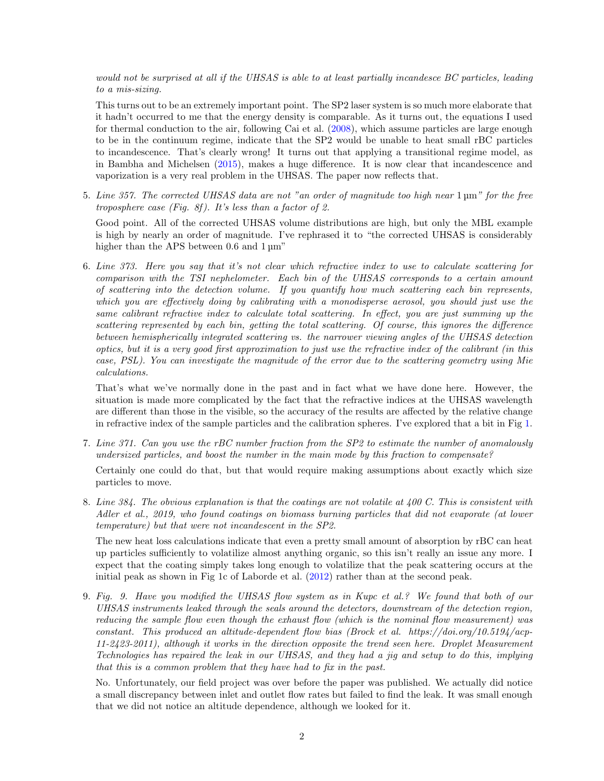would not be surprised at all if the UHSAS is able to at least partially incandesce BC particles, leading to a mis-sizing.

This turns out to be an extremely important point. The SP2 laser system is so much more elaborate that it hadn't occurred to me that the energy density is comparable. As it turns out, the equations I used for thermal conduction to the air, following Cai et al. [\(2008\)](#page-2-0), which assume particles are large enough to be in the continuum regime, indicate that the SP2 would be unable to heat small rBC particles to incandescence. That's clearly wrong! It turns out that applying a transitional regime model, as in Bambha and Michelsen [\(2015\)](#page-2-1), makes a huge difference. It is now clear that incandescence and vaporization is a very real problem in the UHSAS. The paper now reflects that.

5. Line 357. The corrected UHSAS data are not "an order of magnitude too high near 1 µm" for the free troposphere case (Fig. 8f). It's less than a factor of 2.

Good point. All of the corrected UHSAS volume distributions are high, but only the MBL example is high by nearly an order of magnitude. I've rephrased it to "the corrected UHSAS is considerably higher than the APS between 0.6 and  $1 \mu m$ "

6. Line 373. Here you say that it's not clear which refractive index to use to calculate scattering for comparison with the TSI nephelometer. Each bin of the UHSAS corresponds to a certain amount of scattering into the detection volume. If you quantify how much scattering each bin represents, which you are effectively doing by calibrating with a monodisperse aerosol, you should just use the same calibrant refractive index to calculate total scattering. In effect, you are just summing up the scattering represented by each bin, getting the total scattering. Of course, this ignores the difference between hemispherically integrated scattering vs. the narrower viewing angles of the UHSAS detection optics, but it is a very good first approximation to just use the refractive index of the calibrant (in this case, PSL). You can investigate the magnitude of the error due to the scattering geometry using Mie calculations.

That's what we've normally done in the past and in fact what we have done here. However, the situation is made more complicated by the fact that the refractive indices at the UHSAS wavelength are different than those in the visible, so the accuracy of the results are affected by the relative change in refractive index of the sample particles and the calibration spheres. I've explored that a bit in Fig [1.](#page-3-0)

7. Line 371. Can you use the rBC number fraction from the SP2 to estimate the number of anomalously undersized particles, and boost the number in the main mode by this fraction to compensate?

Certainly one could do that, but that would require making assumptions about exactly which size particles to move.

8. Line 384. The obvious explanation is that the coatings are not volatile at 400 C. This is consistent with Adler et al., 2019, who found coatings on biomass burning particles that did not evaporate (at lower temperature) but that were not incandescent in the SP2.

The new heat loss calculations indicate that even a pretty small amount of absorption by rBC can heat up particles sufficiently to volatilize almost anything organic, so this isn't really an issue any more. I expect that the coating simply takes long enough to volatilize that the peak scattering occurs at the initial peak as shown in Fig 1c of Laborde et al. [\(2012\)](#page-2-2) rather than at the second peak.

9. Fig. 9. Have you modified the UHSAS flow system as in Kupc et al.? We found that both of our UHSAS instruments leaked through the seals around the detectors, downstream of the detection region, reducing the sample flow even though the exhaust flow (which is the nominal flow measurement) was constant. This produced an altitude-dependent flow bias (Brock et al. https://doi.org/10.5194/acp-11-2423-2011), although it works in the direction opposite the trend seen here. Droplet Measurement Technologies has repaired the leak in our UHSAS, and they had a jig and setup to do this, implying that this is a common problem that they have had to fix in the past.

No. Unfortunately, our field project was over before the paper was published. We actually did notice a small discrepancy between inlet and outlet flow rates but failed to find the leak. It was small enough that we did not notice an altitude dependence, although we looked for it.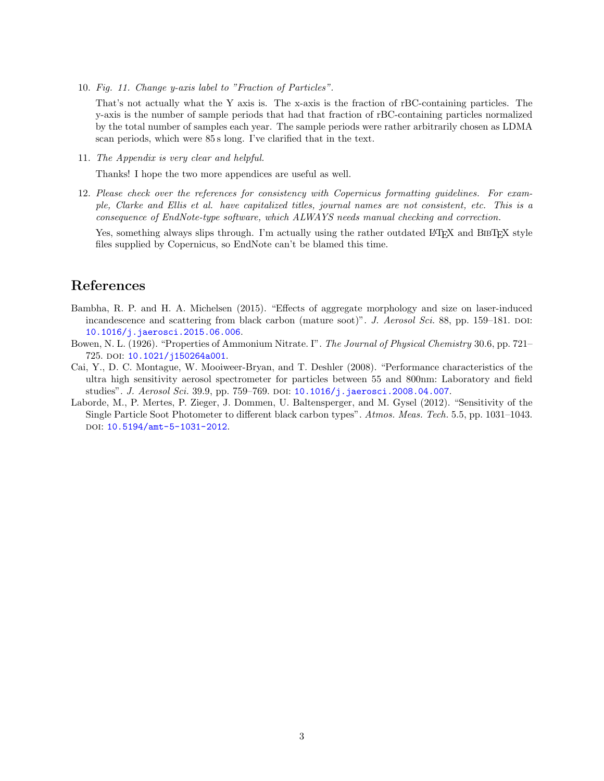10. Fig. 11. Change y-axis label to "Fraction of Particles".

That's not actually what the Y axis is. The x-axis is the fraction of rBC-containing particles. The y-axis is the number of sample periods that had that fraction of rBC-containing particles normalized by the total number of samples each year. The sample periods were rather arbitrarily chosen as LDMA scan periods, which were 85 s long. I've clarified that in the text.

11. The Appendix is very clear and helpful.

Thanks! I hope the two more appendices are useful as well.

12. Please check over the references for consistency with Copernicus formatting guidelines. For example, Clarke and Ellis et al. have capitalized titles, journal names are not consistent, etc. This is a consequence of EndNote-type software, which ALWAYS needs manual checking and correction.

Yes, something always slips through. I'm actually using the rather outdated LATEX and BIBTEX style files supplied by Copernicus, so EndNote can't be blamed this time.

## References

- <span id="page-2-1"></span>Bambha, R. P. and H. A. Michelsen (2015). "Effects of aggregate morphology and size on laser-induced incandescence and scattering from black carbon (mature soot)". J. Aerosol Sci. 88, pp. 159–181. DOI: [10.1016/j.jaerosci.2015.06.006](https://doi.org/10.1016/j.jaerosci.2015.06.006).
- <span id="page-2-3"></span>Bowen, N. L. (1926). "Properties of Ammonium Nitrate. I". The Journal of Physical Chemistry 30.6, pp. 721– 725. DOI: [10.1021/j150264a001](https://doi.org/10.1021/j150264a001).
- <span id="page-2-0"></span>Cai, Y., D. C. Montague, W. Mooiweer-Bryan, and T. Deshler (2008). "Performance characteristics of the ultra high sensitivity aerosol spectrometer for particles between 55 and 800nm: Laboratory and field studies". J. Aerosol Sci. 39.9, pp. 759–769. DOI: 10.1016/j. jaerosci.2008.04.007.
- <span id="page-2-2"></span>Laborde, M., P. Mertes, P. Zieger, J. Dommen, U. Baltensperger, and M. Gysel (2012). "Sensitivity of the Single Particle Soot Photometer to different black carbon types". Atmos. Meas. Tech. 5.5, pp. 1031–1043. DOI: [10.5194/amt-5-1031-2012](https://doi.org/10.5194/amt-5-1031-2012).